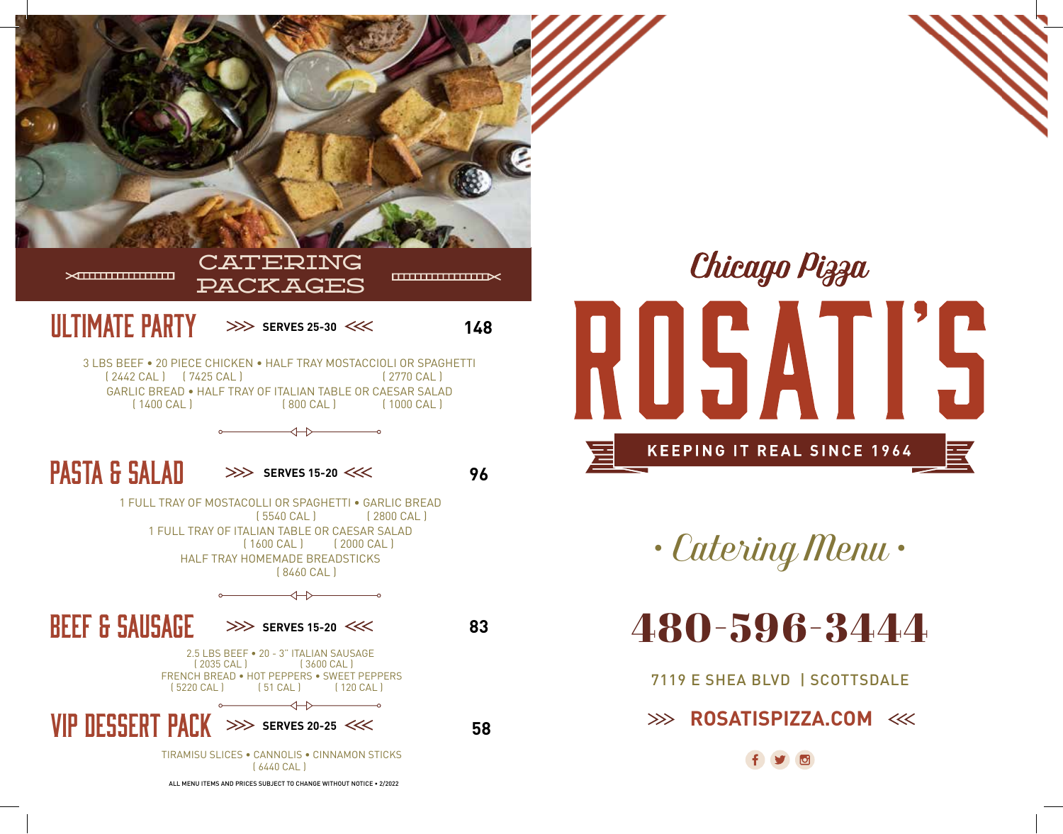



*• Catering Menu •*

480-596-3444

7119 E SHEA BLVD | SCOTTSDALE

**EXAMPLE 2008 ROSATISPIZZA.COM**